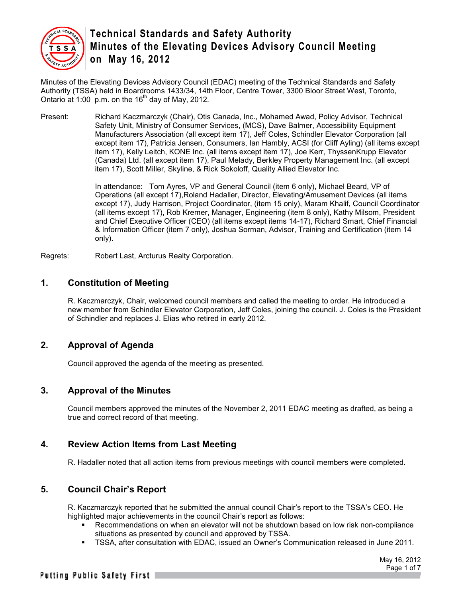

Minutes of the Elevating Devices Advisory Council (EDAC) meeting of the Technical Standards and Safety Authority (TSSA) held in Boardrooms 1433/34, 14th Floor, Centre Tower, 3300 Bloor Street West, Toronto, Ontario at 1:00 p.m. on the  $16<sup>th</sup>$  day of May, 2012.

Present: Richard Kaczmarczyk (Chair), Otis Canada, Inc., Mohamed Awad, Policy Advisor, Technical Safety Unit, Ministry of Consumer Services, (MCS), Dave Balmer, Accessibility Equipment Manufacturers Association (all except item 17), Jeff Coles, Schindler Elevator Corporation (all except item 17), Patricia Jensen, Consumers, Ian Hambly, ACSI (for Cliff Ayling) (all items except item 17), Kelly Leitch, KONE Inc. (all items except item 17), Joe Kerr, ThyssenKrupp Elevator (Canada) Ltd. (all except item 17), Paul Melady, Berkley Property Management Inc. (all except item 17), Scott Miller, Skyline, & Rick Sokoloff, Quality Allied Elevator Inc.

> In attendance: Tom Ayres, VP and General Council (item 6 only), Michael Beard, VP of Operations (all except 17),Roland Hadaller, Director, Elevating/Amusement Devices (all items except 17), Judy Harrison, Project Coordinator, (item 15 only), Maram Khalif, Council Coordinator (all items except 17), Rob Kremer, Manager, Engineering (item 8 only), Kathy Milsom, President and Chief Executive Officer (CEO) (all items except items 14-17), Richard Smart, Chief Financial & Information Officer (item 7 only), Joshua Sorman, Advisor, Training and Certification (item 14 only).

Regrets: Robert Last, Arcturus Realty Corporation.

#### **1. Constitution of Meeting**

R. Kaczmarczyk, Chair, welcomed council members and called the meeting to order. He introduced a new member from Schindler Elevator Corporation, Jeff Coles, joining the council. J. Coles is the President of Schindler and replaces J. Elias who retired in early 2012.

### **2. Approval of Agenda**

Council approved the agenda of the meeting as presented.

#### **3. Approval of the Minutes**

Council members approved the minutes of the November 2, 2011 EDAC meeting as drafted, as being a true and correct record of that meeting.

#### **4. Review Action Items from Last Meeting**

R. Hadaller noted that all action items from previous meetings with council members were completed.

### **5. Council Chair's Report**

R. Kaczmarczyk reported that he submitted the annual council Chair's report to the TSSA's CEO. He highlighted major achievements in the council Chair's report as follows:

- Recommendations on when an elevator will not be shutdown based on low risk non-compliance situations as presented by council and approved by TSSA.
- TSSA, after consultation with EDAC, issued an Owner's Communication released in June 2011.

May 16, 2012 Page 1 of 7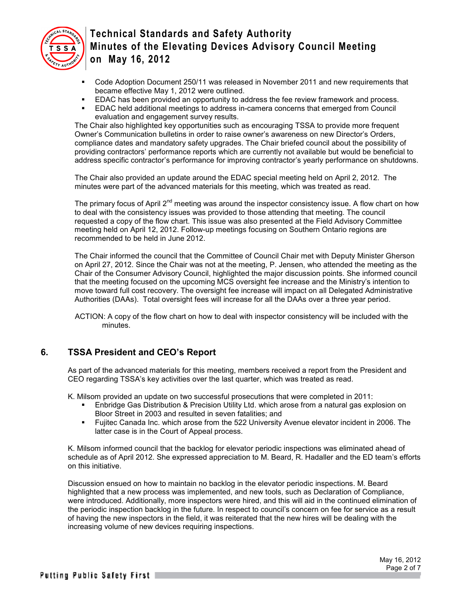

- Code Adoption Document 250/11 was released in November 2011 and new requirements that became effective May 1, 2012 were outlined.
- EDAC has been provided an opportunity to address the fee review framework and process.
- EDAC held additional meetings to address in-camera concerns that emerged from Council evaluation and engagement survey results.

The Chair also highlighted key opportunities such as encouraging TSSA to provide more frequent Owner's Communication bulletins in order to raise owner's awareness on new Director's Orders, compliance dates and mandatory safety upgrades. The Chair briefed council about the possibility of providing contractors' performance reports which are currently not available but would be beneficial to address specific contractor's performance for improving contractor's yearly performance on shutdowns.

The Chair also provided an update around the EDAC special meeting held on April 2, 2012. The minutes were part of the advanced materials for this meeting, which was treated as read.

The primary focus of April  $2<sup>nd</sup>$  meeting was around the inspector consistency issue. A flow chart on how to deal with the consistency issues was provided to those attending that meeting. The council requested a copy of the flow chart. This issue was also presented at the Field Advisory Committee meeting held on April 12, 2012. Follow-up meetings focusing on Southern Ontario regions are recommended to be held in June 2012.

The Chair informed the council that the Committee of Council Chair met with Deputy Minister Gherson on April 27, 2012. Since the Chair was not at the meeting, P. Jensen, who attended the meeting as the Chair of the Consumer Advisory Council, highlighted the major discussion points. She informed council that the meeting focused on the upcoming MCS oversight fee increase and the Ministry's intention to move toward full cost recovery. The oversight fee increase will impact on all Delegated Administrative Authorities (DAAs). Total oversight fees will increase for all the DAAs over a three year period.

ACTION: A copy of the flow chart on how to deal with inspector consistency will be included with the minutes.

### **6. TSSA President and CEO's Report**

As part of the advanced materials for this meeting, members received a report from the President and CEO regarding TSSA's key activities over the last quarter, which was treated as read.

K. Milsom provided an update on two successful prosecutions that were completed in 2011:

- Enbridge Gas Distribution & Precision Utility Ltd. which arose from a natural gas explosion on Bloor Street in 2003 and resulted in seven fatalities; and
- Fujitec Canada Inc. which arose from the 522 University Avenue elevator incident in 2006. The latter case is in the Court of Appeal process.

K. Milsom informed council that the backlog for elevator periodic inspections was eliminated ahead of schedule as of April 2012. She expressed appreciation to M. Beard, R. Hadaller and the ED team's efforts on this initiative.

Discussion ensued on how to maintain no backlog in the elevator periodic inspections. M. Beard highlighted that a new process was implemented, and new tools, such as Declaration of Compliance, were introduced. Additionally, more inspectors were hired, and this will aid in the continued elimination of the periodic inspection backlog in the future. In respect to council's concern on fee for service as a result of having the new inspectors in the field, it was reiterated that the new hires will be dealing with the increasing volume of new devices requiring inspections.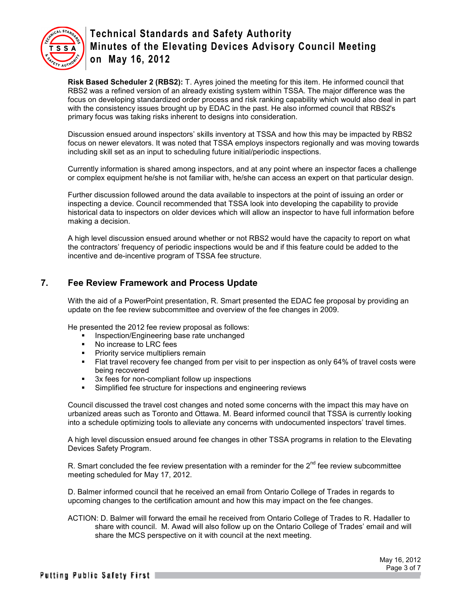

**Risk Based Scheduler 2 (RBS2):** T. Ayres joined the meeting for this item. He informed council that RBS2 was a refined version of an already existing system within TSSA. The major difference was the focus on developing standardized order process and risk ranking capability which would also deal in part with the consistency issues brought up by EDAC in the past. He also informed council that RBS2's primary focus was taking risks inherent to designs into consideration.

Discussion ensued around inspectors' skills inventory at TSSA and how this may be impacted by RBS2 focus on newer elevators. It was noted that TSSA employs inspectors regionally and was moving towards including skill set as an input to scheduling future initial/periodic inspections.

Currently information is shared among inspectors, and at any point where an inspector faces a challenge or complex equipment he/she is not familiar with, he/she can access an expert on that particular design.

Further discussion followed around the data available to inspectors at the point of issuing an order or inspecting a device. Council recommended that TSSA look into developing the capability to provide historical data to inspectors on older devices which will allow an inspector to have full information before making a decision.

A high level discussion ensued around whether or not RBS2 would have the capacity to report on what the contractors' frequency of periodic inspections would be and if this feature could be added to the incentive and de-incentive program of TSSA fee structure.

## **7. Fee Review Framework and Process Update**

With the aid of a PowerPoint presentation, R. Smart presented the EDAC fee proposal by providing an update on the fee review subcommittee and overview of the fee changes in 2009.

He presented the 2012 fee review proposal as follows:

- **Inspection/Engineering base rate unchanged**
- No increase to LRC fees
- **Priority service multipliers remain**
- **Flat travel recovery fee changed from per visit to per inspection as only 64% of travel costs were** being recovered
- 3x fees for non-compliant follow up inspections
- Simplified fee structure for inspections and engineering reviews

Council discussed the travel cost changes and noted some concerns with the impact this may have on urbanized areas such as Toronto and Ottawa. M. Beard informed council that TSSA is currently looking into a schedule optimizing tools to alleviate any concerns with undocumented inspectors' travel times.

A high level discussion ensued around fee changes in other TSSA programs in relation to the Elevating Devices Safety Program.

R. Smart concluded the fee review presentation with a reminder for the  $2<sup>nd</sup>$  fee review subcommittee meeting scheduled for May 17, 2012.

D. Balmer informed council that he received an email from Ontario College of Trades in regards to upcoming changes to the certification amount and how this may impact on the fee changes.

ACTION: D. Balmer will forward the email he received from Ontario College of Trades to R. Hadaller to share with council. M. Awad will also follow up on the Ontario College of Trades' email and will share the MCS perspective on it with council at the next meeting.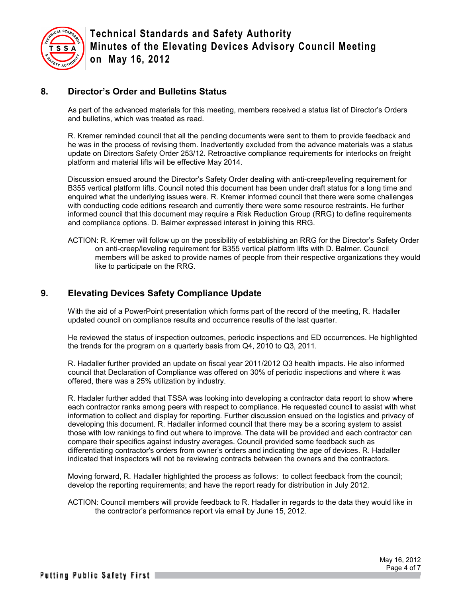

### **8. Director's Order and Bulletins Status**

As part of the advanced materials for this meeting, members received a status list of Director's Orders and bulletins, which was treated as read.

R. Kremer reminded council that all the pending documents were sent to them to provide feedback and he was in the process of revising them. Inadvertently excluded from the advance materials was a status update on Directors Safety Order 253/12. Retroactive compliance requirements for interlocks on freight platform and material lifts will be effective May 2014.

Discussion ensued around the Director's Safety Order dealing with anti-creep/leveling requirement for B355 vertical platform lifts. Council noted this document has been under draft status for a long time and enquired what the underlying issues were. R. Kremer informed council that there were some challenges with conducting code editions research and currently there were some resource restraints. He further informed council that this document may require a Risk Reduction Group (RRG) to define requirements and compliance options. D. Balmer expressed interest in joining this RRG.

ACTION: R. Kremer will follow up on the possibility of establishing an RRG for the Director's Safety Order on anti-creep/leveling requirement for B355 vertical platform lifts with D. Balmer. Council members will be asked to provide names of people from their respective organizations they would like to participate on the RRG.

### **9. Elevating Devices Safety Compliance Update**

With the aid of a PowerPoint presentation which forms part of the record of the meeting, R. Hadaller updated council on compliance results and occurrence results of the last quarter.

He reviewed the status of inspection outcomes, periodic inspections and ED occurrences. He highlighted the trends for the program on a quarterly basis from Q4, 2010 to Q3, 2011.

R. Hadaller further provided an update on fiscal year 2011/2012 Q3 health impacts. He also informed council that Declaration of Compliance was offered on 30% of periodic inspections and where it was offered, there was a 25% utilization by industry.

R. Hadaler further added that TSSA was looking into developing a contractor data report to show where each contractor ranks among peers with respect to compliance. He requested council to assist with what information to collect and display for reporting. Further discussion ensued on the logistics and privacy of developing this document. R. Hadaller informed council that there may be a scoring system to assist those with low rankings to find out where to improve. The data will be provided and each contractor can compare their specifics against industry averages. Council provided some feedback such as differentiating contractor's orders from owner's orders and indicating the age of devices. R. Hadaller indicated that inspectors will not be reviewing contracts between the owners and the contractors.

Moving forward, R. Hadaller highlighted the process as follows: to collect feedback from the council; develop the reporting requirements; and have the report ready for distribution in July 2012.

ACTION: Council members will provide feedback to R. Hadaller in regards to the data they would like in the contractor's performance report via email by June 15, 2012.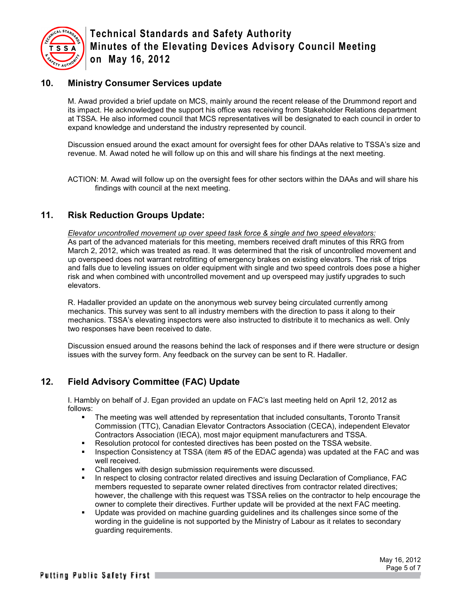

### **10. Ministry Consumer Services update**

M. Awad provided a brief update on MCS, mainly around the recent release of the Drummond report and its impact. He acknowledged the support his office was receiving from Stakeholder Relations department at TSSA. He also informed council that MCS representatives will be designated to each council in order to expand knowledge and understand the industry represented by council.

Discussion ensued around the exact amount for oversight fees for other DAAs relative to TSSA's size and revenue. M. Awad noted he will follow up on this and will share his findings at the next meeting.

ACTION: M. Awad will follow up on the oversight fees for other sectors within the DAAs and will share his findings with council at the next meeting.

### **11. Risk Reduction Groups Update:**

*Elevator uncontrolled movement up over speed task force & single and two speed elevators:* As part of the advanced materials for this meeting, members received draft minutes of this RRG from March 2, 2012, which was treated as read. It was determined that the risk of uncontrolled movement and up overspeed does not warrant retrofitting of emergency brakes on existing elevators. The risk of trips and falls due to leveling issues on older equipment with single and two speed controls does pose a higher risk and when combined with uncontrolled movement and up overspeed may justify upgrades to such elevators.

R. Hadaller provided an update on the anonymous web survey being circulated currently among mechanics. This survey was sent to all industry members with the direction to pass it along to their mechanics. TSSA's elevating inspectors were also instructed to distribute it to mechanics as well. Only two responses have been received to date.

Discussion ensued around the reasons behind the lack of responses and if there were structure or design issues with the survey form. Any feedback on the survey can be sent to R. Hadaller.

## **12. Field Advisory Committee (FAC) Update**

I. Hambly on behalf of J. Egan provided an update on FAC's last meeting held on April 12, 2012 as follows:

- The meeting was well attended by representation that included consultants, Toronto Transit Commission (TTC), Canadian Elevator Contractors Association (CECA), independent Elevator Contractors Association (IECA), most major equipment manufacturers and TSSA.
- **Resolution protocol for contested directives has been posted on the TSSA website.**
- Inspection Consistency at TSSA (item #5 of the EDAC agenda) was updated at the FAC and was well received.
- **EXECT** Challenges with design submission requirements were discussed.
- In respect to closing contractor related directives and issuing Declaration of Compliance, FAC members requested to separate owner related directives from contractor related directives; however, the challenge with this request was TSSA relies on the contractor to help encourage the owner to complete their directives. Further update will be provided at the next FAC meeting.
- Update was provided on machine guarding guidelines and its challenges since some of the wording in the guideline is not supported by the Ministry of Labour as it relates to secondary guarding requirements.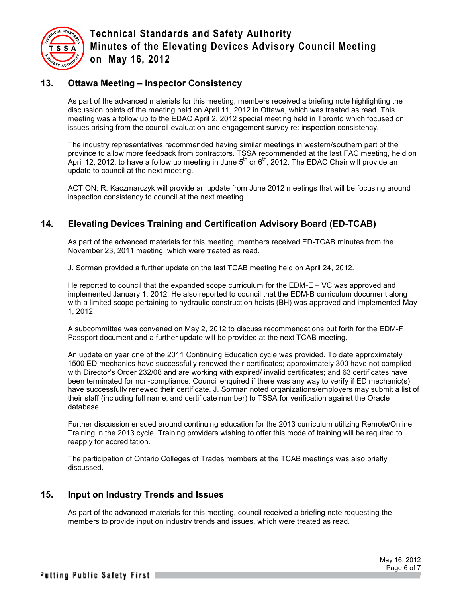

### **13. Ottawa Meeting – Inspector Consistency**

As part of the advanced materials for this meeting, members received a briefing note highlighting the discussion points of the meeting held on April 11, 2012 in Ottawa, which was treated as read. This meeting was a follow up to the EDAC April 2, 2012 special meeting held in Toronto which focused on issues arising from the council evaluation and engagement survey re: inspection consistency.

The industry representatives recommended having similar meetings in western/southern part of the province to allow more feedback from contractors. TSSA recommended at the last FAC meeting, held on April 12, 2012, to have a follow up meeting in June 5<sup>th</sup> or 6<sup>th</sup>, 2012. The EDAC Chair will provide an update to council at the next meeting.

ACTION: R. Kaczmarczyk will provide an update from June 2012 meetings that will be focusing around inspection consistency to council at the next meeting.

### **14. Elevating Devices Training and Certification Advisory Board (ED-TCAB)**

As part of the advanced materials for this meeting, members received ED-TCAB minutes from the November 23, 2011 meeting, which were treated as read.

J. Sorman provided a further update on the last TCAB meeting held on April 24, 2012.

He reported to council that the expanded scope curriculum for the EDM-E – VC was approved and implemented January 1, 2012. He also reported to council that the EDM-B curriculum document along with a limited scope pertaining to hydraulic construction hoists (BH) was approved and implemented May 1, 2012.

A subcommittee was convened on May 2, 2012 to discuss recommendations put forth for the EDM-F Passport document and a further update will be provided at the next TCAB meeting.

An update on year one of the 2011 Continuing Education cycle was provided. To date approximately 1500 ED mechanics have successfully renewed their certificates; approximately 300 have not complied with Director's Order 232/08 and are working with expired/ invalid certificates; and 63 certificates have been terminated for non-compliance. Council enquired if there was any way to verify if ED mechanic(s) have successfully renewed their certificate. J. Sorman noted organizations/employers may submit a list of their staff (including full name, and certificate number) to TSSA for verification against the Oracle database.

Further discussion ensued around continuing education for the 2013 curriculum utilizing Remote/Online Training in the 2013 cycle. Training providers wishing to offer this mode of training will be required to reapply for accreditation.

The participation of Ontario Colleges of Trades members at the TCAB meetings was also briefly discussed.

### **15. Input on Industry Trends and Issues**

As part of the advanced materials for this meeting, council received a briefing note requesting the members to provide input on industry trends and issues, which were treated as read.